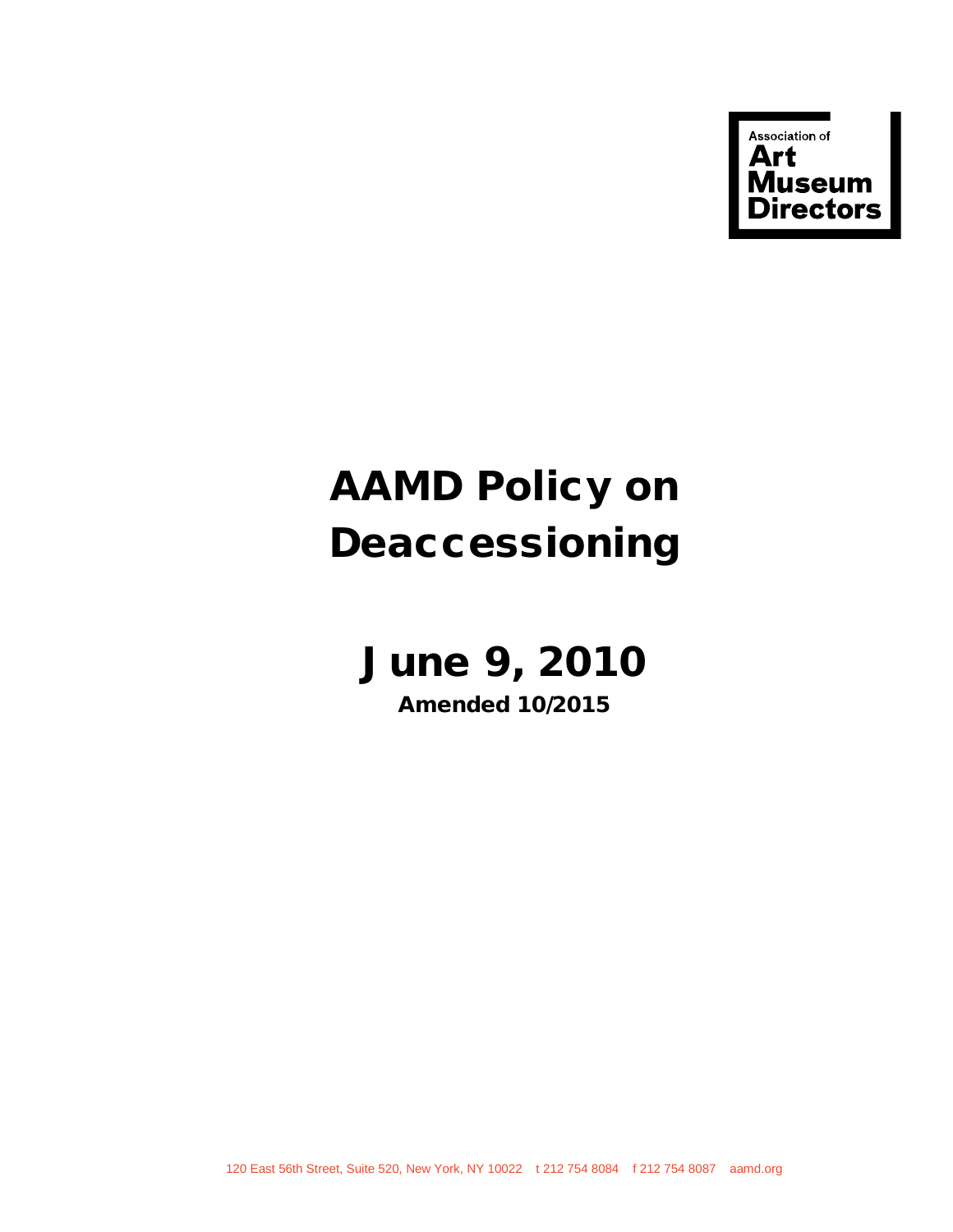

# AAMD Policy on Deaccessioning

# June 9, 2010

Amended 10/2015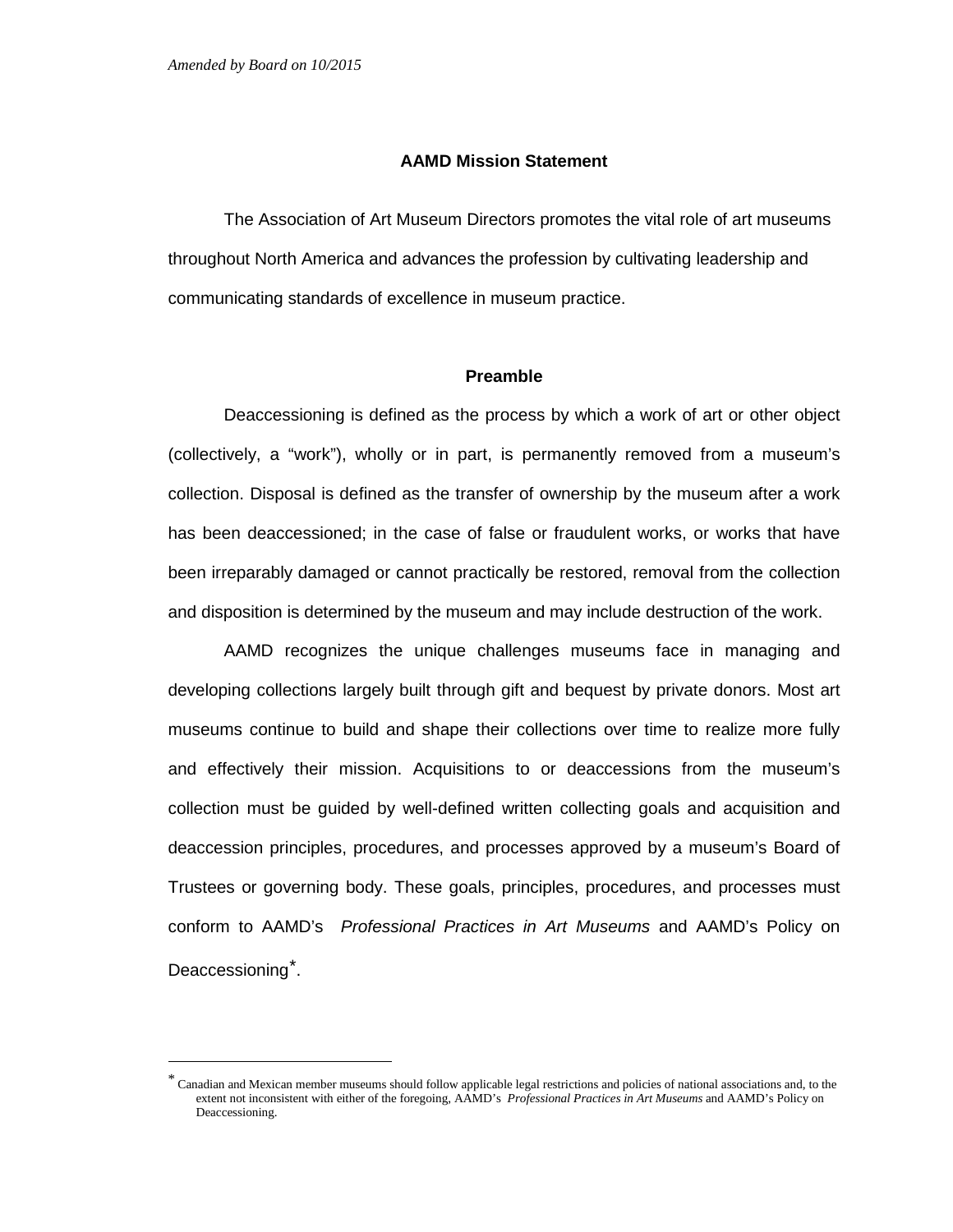#### **AAMD Mission Statement**

The Association of Art Museum Directors promotes the vital role of art museums throughout North America and advances the profession by cultivating leadership and communicating standards of excellence in museum practice.

# **Preamble**

Deaccessioning is defined as the process by which a work of art or other object (collectively, a "work"), wholly or in part, is permanently removed from a museum's collection. Disposal is defined as the transfer of ownership by the museum after a work has been deaccessioned; in the case of false or fraudulent works, or works that have been irreparably damaged or cannot practically be restored, removal from the collection and disposition is determined by the museum and may include destruction of the work.

AAMD recognizes the unique challenges museums face in managing and developing collections largely built through gift and bequest by private donors. Most art museums continue to build and shape their collections over time to realize more fully and effectively their mission. Acquisitions to or deaccessions from the museum's collection must be guided by well-defined written collecting goals and acquisition and deaccession principles, procedures, and processes approved by a museum's Board of Trustees or governing body. These goals, principles, procedures, and processes must conform to AAMD's *Professional Practices in Art Museums* and AAMD's Policy on Deaccessioning<sup>[\\*](#page-1-0)</sup>.

<span id="page-1-0"></span> <sup>\*</sup> Canadian and Mexican member museums should follow applicable legal restrictions and policies of national associations and, to the extent not inconsistent with either of the foregoing, AAMD's *Professional Practices in Art Museums* and AAMD's Policy on Deaccessioning.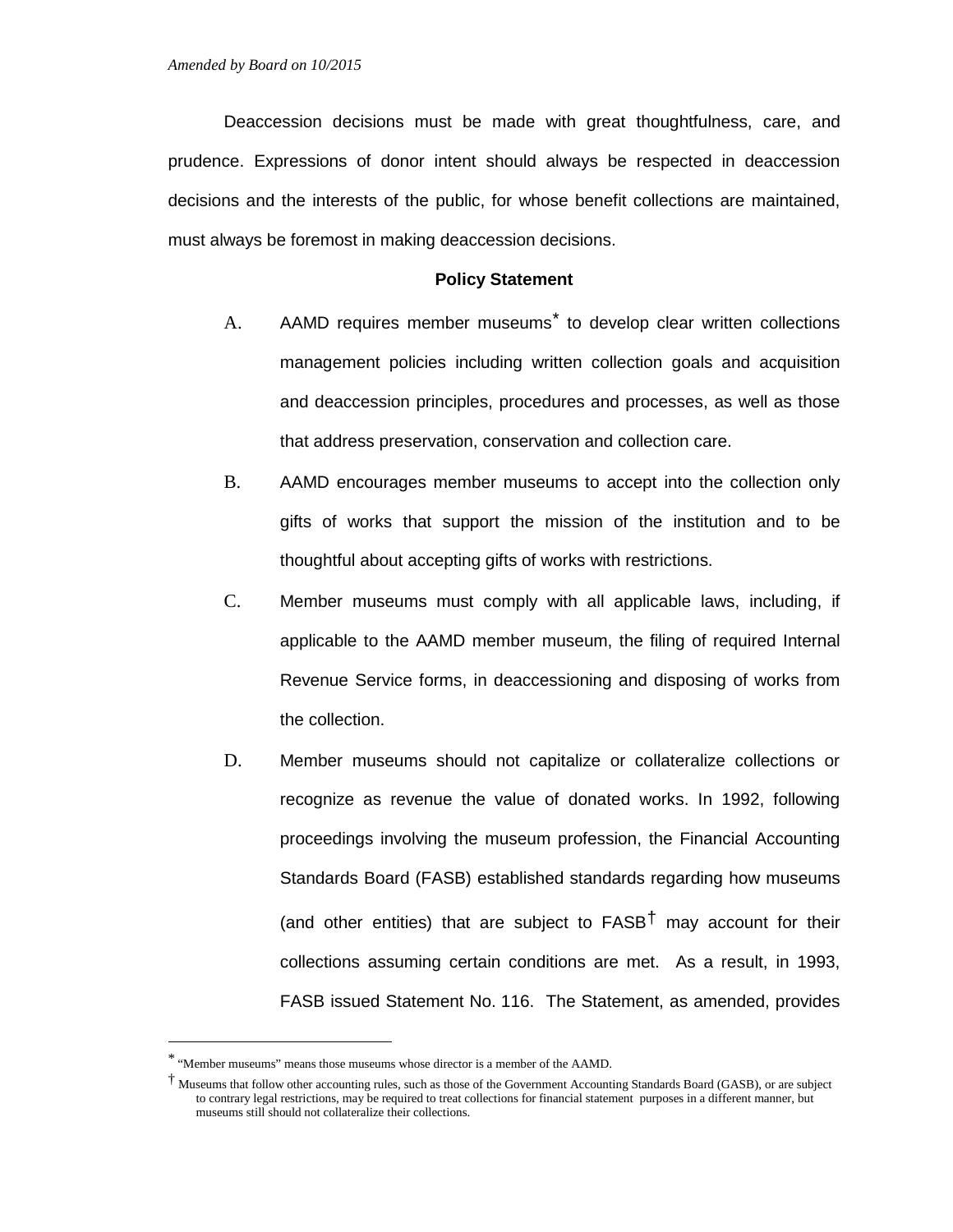Deaccession decisions must be made with great thoughtfulness, care, and prudence. Expressions of donor intent should always be respected in deaccession decisions and the interests of the public, for whose benefit collections are maintained, must always be foremost in making deaccession decisions.

#### **Policy Statement**

- A. AAMD requires member museums<sup>[\\*](#page-2-0)</sup> to develop clear written collections management policies including written collection goals and acquisition and deaccession principles, procedures and processes, as well as those that address preservation, conservation and collection care.
- B. AAMD encourages member museums to accept into the collection only gifts of works that support the mission of the institution and to be thoughtful about accepting gifts of works with restrictions.
- C. Member museums must comply with all applicable laws, including, if applicable to the AAMD member museum, the filing of required Internal Revenue Service forms, in deaccessioning and disposing of works from the collection.
- D. Member museums should not capitalize or collateralize collections or recognize as revenue the value of donated works. In 1992, following proceedings involving the museum profession, the Financial Accounting Standards Board (FASB) established standards regarding how museums (and other entities) that are subject to  $FASB<sup>\dagger</sup>$  may account for their collections assuming certain conditions are met. As a result, in 1993, FASB issued Statement No. 116. The Statement, as amended, provides

<span id="page-2-0"></span> <sup>\*</sup> "Member museums" means those museums whose director is a member of the AAMD.

<span id="page-2-1"></span><sup>†</sup> Museums that follow other accounting rules, such as those of the Government Accounting Standards Board (GASB), or are subject to contrary legal restrictions, may be required to treat collections for financial statement purposes in a different manner, but museums still should not collateralize their collections.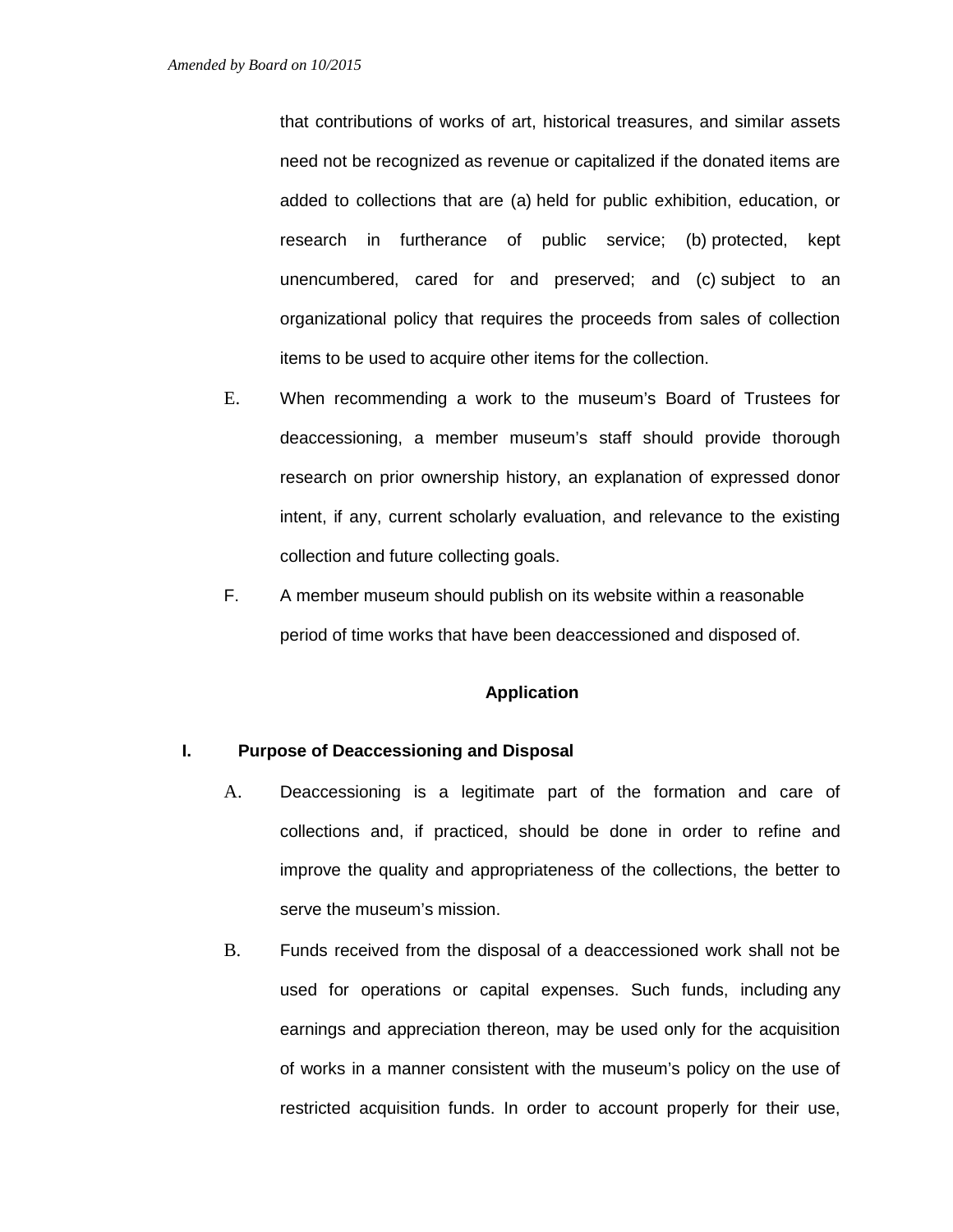that contributions of works of art, historical treasures, and similar assets need not be recognized as revenue or capitalized if the donated items are added to collections that are (a) held for public exhibition, education, or research in furtherance of public service; (b) protected, kept unencumbered, cared for and preserved; and (c) subject to an organizational policy that requires the proceeds from sales of collection items to be used to acquire other items for the collection.

- E. When recommending a work to the museum's Board of Trustees for deaccessioning, a member museum's staff should provide thorough research on prior ownership history, an explanation of expressed donor intent, if any, current scholarly evaluation, and relevance to the existing collection and future collecting goals.
- F. A member museum should publish on its website within a reasonable period of time works that have been deaccessioned and disposed of.

# **Application**

#### **I. Purpose of Deaccessioning and Disposal**

- A. Deaccessioning is a legitimate part of the formation and care of collections and, if practiced, should be done in order to refine and improve the quality and appropriateness of the collections, the better to serve the museum's mission.
- B. Funds received from the disposal of a deaccessioned work shall not be used for operations or capital expenses. Such funds, including any earnings and appreciation thereon, may be used only for the acquisition of works in a manner consistent with the museum's policy on the use of restricted acquisition funds. In order to account properly for their use,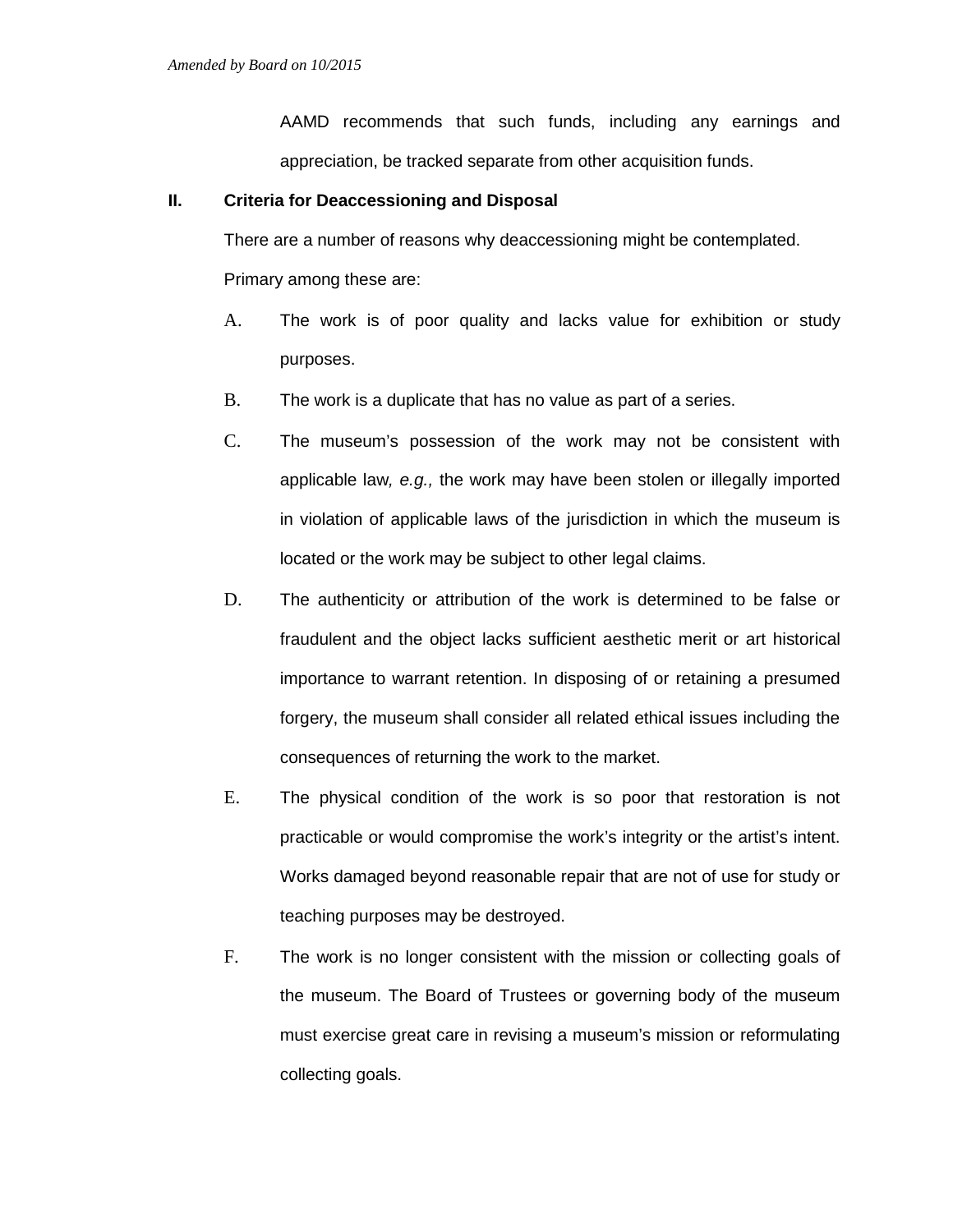AAMD recommends that such funds, including any earnings and appreciation, be tracked separate from other acquisition funds.

# **II. Criteria for Deaccessioning and Disposal**

There are a number of reasons why deaccessioning might be contemplated. Primary among these are:

- A. The work is of poor quality and lacks value for exhibition or study purposes.
- B. The work is a duplicate that has no value as part of a series.
- C. The museum's possession of the work may not be consistent with applicable law*, e.g.,* the work may have been stolen or illegally imported in violation of applicable laws of the jurisdiction in which the museum is located or the work may be subject to other legal claims.
- D. The authenticity or attribution of the work is determined to be false or fraudulent and the object lacks sufficient aesthetic merit or art historical importance to warrant retention. In disposing of or retaining a presumed forgery, the museum shall consider all related ethical issues including the consequences of returning the work to the market.
- E. The physical condition of the work is so poor that restoration is not practicable or would compromise the work's integrity or the artist's intent. Works damaged beyond reasonable repair that are not of use for study or teaching purposes may be destroyed.
- F. The work is no longer consistent with the mission or collecting goals of the museum. The Board of Trustees or governing body of the museum must exercise great care in revising a museum's mission or reformulating collecting goals.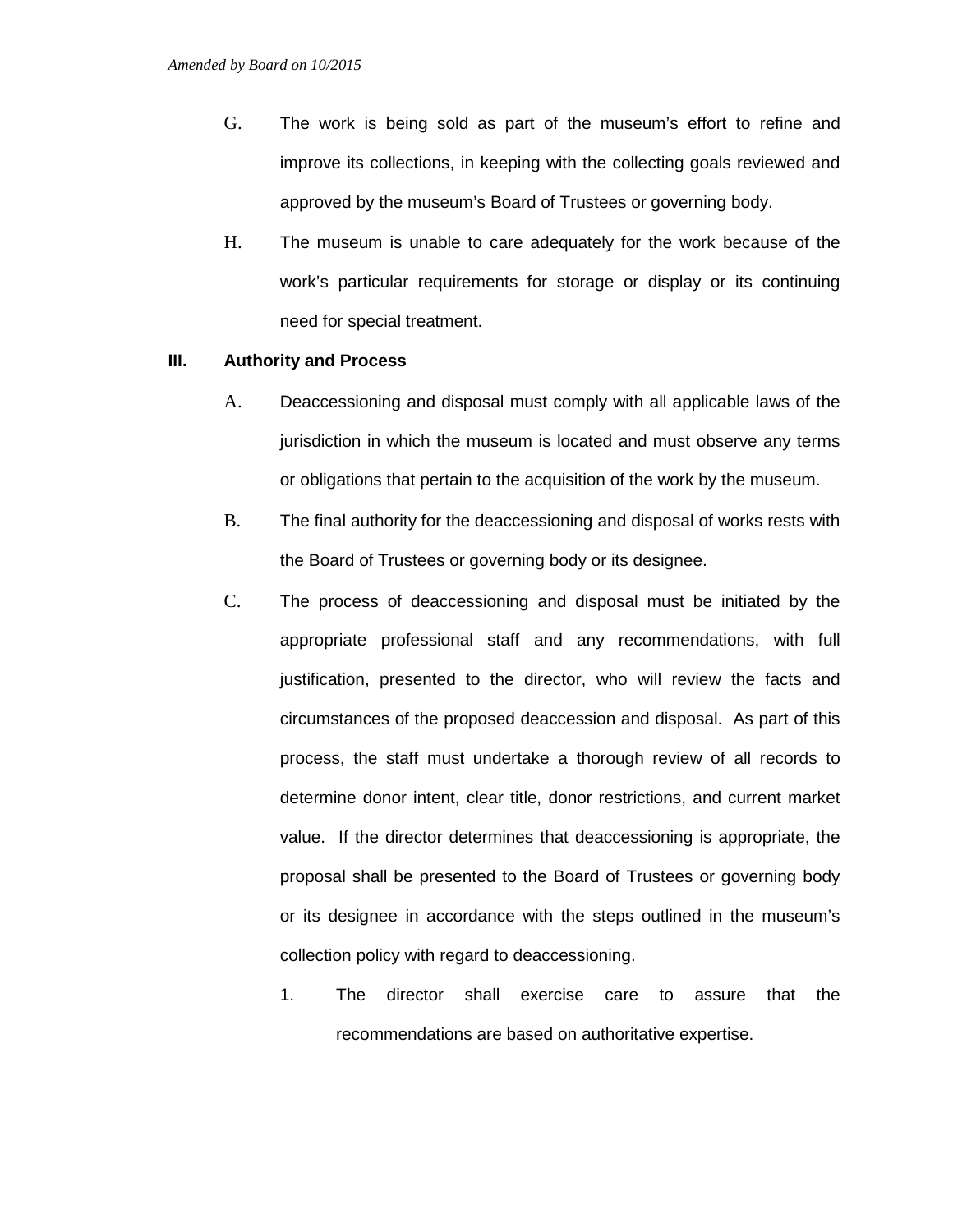- G. The work is being sold as part of the museum's effort to refine and improve its collections, in keeping with the collecting goals reviewed and approved by the museum's Board of Trustees or governing body.
- H. The museum is unable to care adequately for the work because of the work's particular requirements for storage or display or its continuing need for special treatment.

#### **III. Authority and Process**

- A. Deaccessioning and disposal must comply with all applicable laws of the jurisdiction in which the museum is located and must observe any terms or obligations that pertain to the acquisition of the work by the museum.
- B. The final authority for the deaccessioning and disposal of works rests with the Board of Trustees or governing body or its designee.
- C. The process of deaccessioning and disposal must be initiated by the appropriate professional staff and any recommendations, with full justification, presented to the director, who will review the facts and circumstances of the proposed deaccession and disposal. As part of this process, the staff must undertake a thorough review of all records to determine donor intent, clear title, donor restrictions, and current market value. If the director determines that deaccessioning is appropriate, the proposal shall be presented to the Board of Trustees or governing body or its designee in accordance with the steps outlined in the museum's collection policy with regard to deaccessioning.
	- 1. The director shall exercise care to assure that the recommendations are based on authoritative expertise.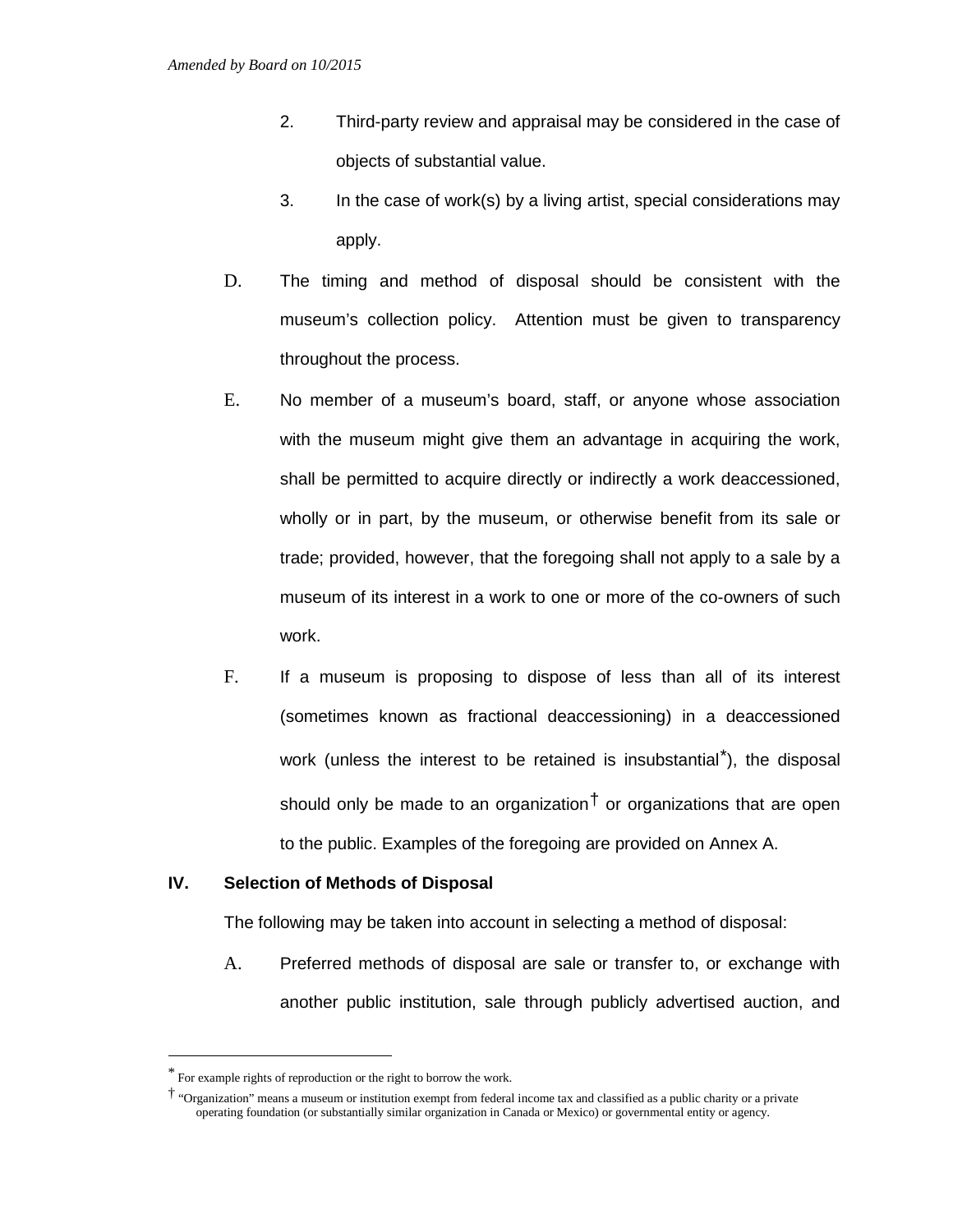- 2. Third-party review and appraisal may be considered in the case of objects of substantial value.
- 3. In the case of work(s) by a living artist, special considerations may apply.
- D. The timing and method of disposal should be consistent with the museum's collection policy. Attention must be given to transparency throughout the process.
- E. No member of a museum's board, staff, or anyone whose association with the museum might give them an advantage in acquiring the work, shall be permitted to acquire directly or indirectly a work deaccessioned, wholly or in part, by the museum, or otherwise benefit from its sale or trade; provided, however, that the foregoing shall not apply to a sale by a museum of its interest in a work to one or more of the co-owners of such work.
- F. If a museum is proposing to dispose of less than all of its interest (sometimes known as fractional deaccessioning) in a deaccessioned work (unless the interest to be retained is insubstantial<sup>[\\*](#page-6-0)</sup>), the disposal should only be made to an organization  $\dagger$  or organizations that are open to the public. Examples of the foregoing are provided on Annex A.

# **IV. Selection of Methods of Disposal**

The following may be taken into account in selecting a method of disposal:

A. Preferred methods of disposal are sale or transfer to, or exchange with another public institution, sale through publicly advertised auction, and

<span id="page-6-0"></span> <sup>\*</sup> For example rights of reproduction or the right to borrow the work.

<span id="page-6-1"></span><sup>†</sup> "Organization" means a museum or institution exempt from federal income tax and classified as a public charity or a private operating foundation (or substantially similar organization in Canada or Mexico) or governmental entity or agency.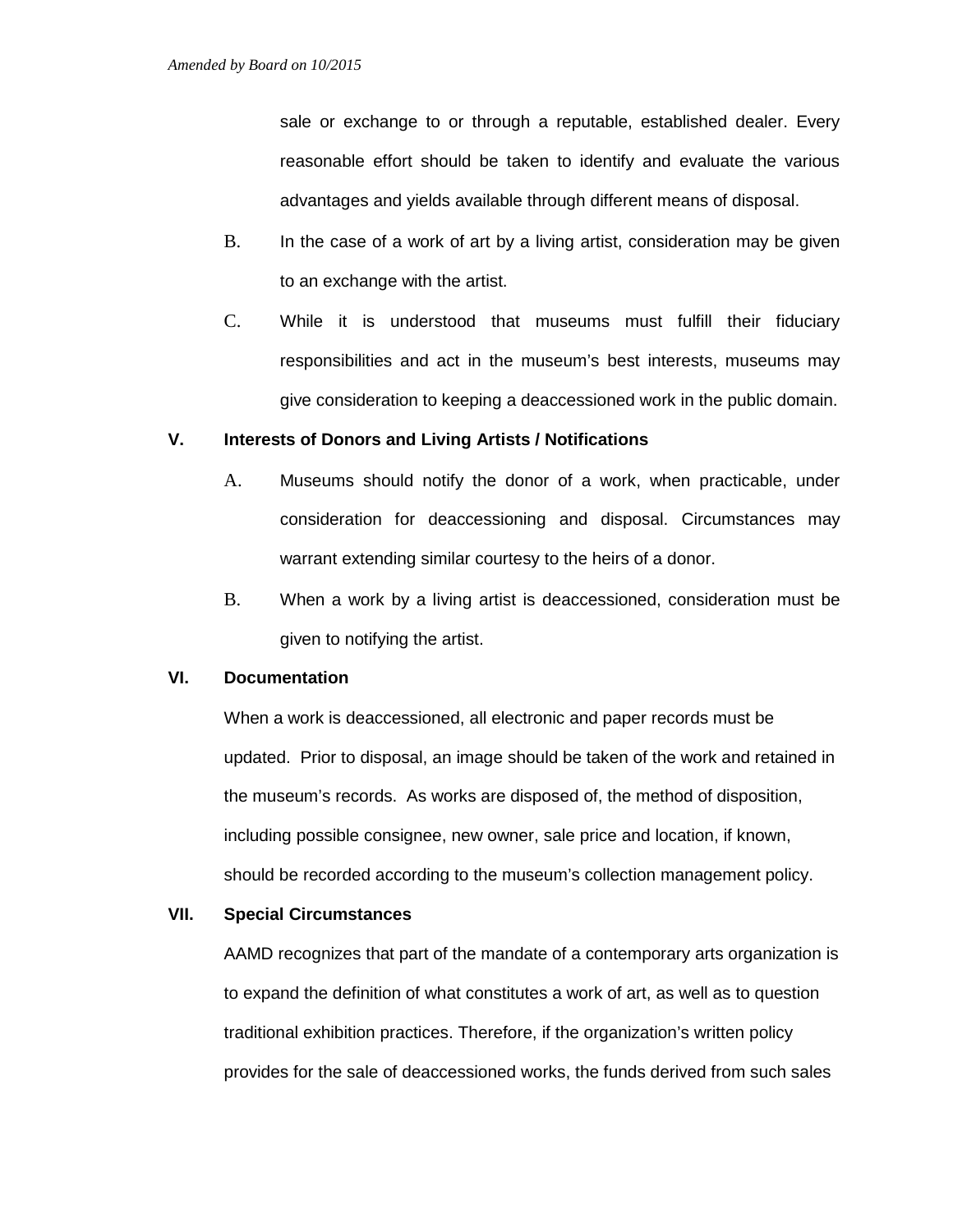sale or exchange to or through a reputable, established dealer. Every reasonable effort should be taken to identify and evaluate the various advantages and yields available through different means of disposal.

- B. In the case of a work of art by a living artist, consideration may be given to an exchange with the artist.
- C. While it is understood that museums must fulfill their fiduciary responsibilities and act in the museum's best interests, museums may give consideration to keeping a deaccessioned work in the public domain.

# **V. Interests of Donors and Living Artists / Notifications**

- A. Museums should notify the donor of a work, when practicable, under consideration for deaccessioning and disposal. Circumstances may warrant extending similar courtesy to the heirs of a donor.
- B. When a work by a living artist is deaccessioned, consideration must be given to notifying the artist.

# **VI. Documentation**

When a work is deaccessioned, all electronic and paper records must be updated. Prior to disposal, an image should be taken of the work and retained in the museum's records. As works are disposed of, the method of disposition, including possible consignee, new owner, sale price and location, if known, should be recorded according to the museum's collection management policy.

# **VII. Special Circumstances**

AAMD recognizes that part of the mandate of a contemporary arts organization is to expand the definition of what constitutes a work of art, as well as to question traditional exhibition practices. Therefore, if the organization's written policy provides for the sale of deaccessioned works, the funds derived from such sales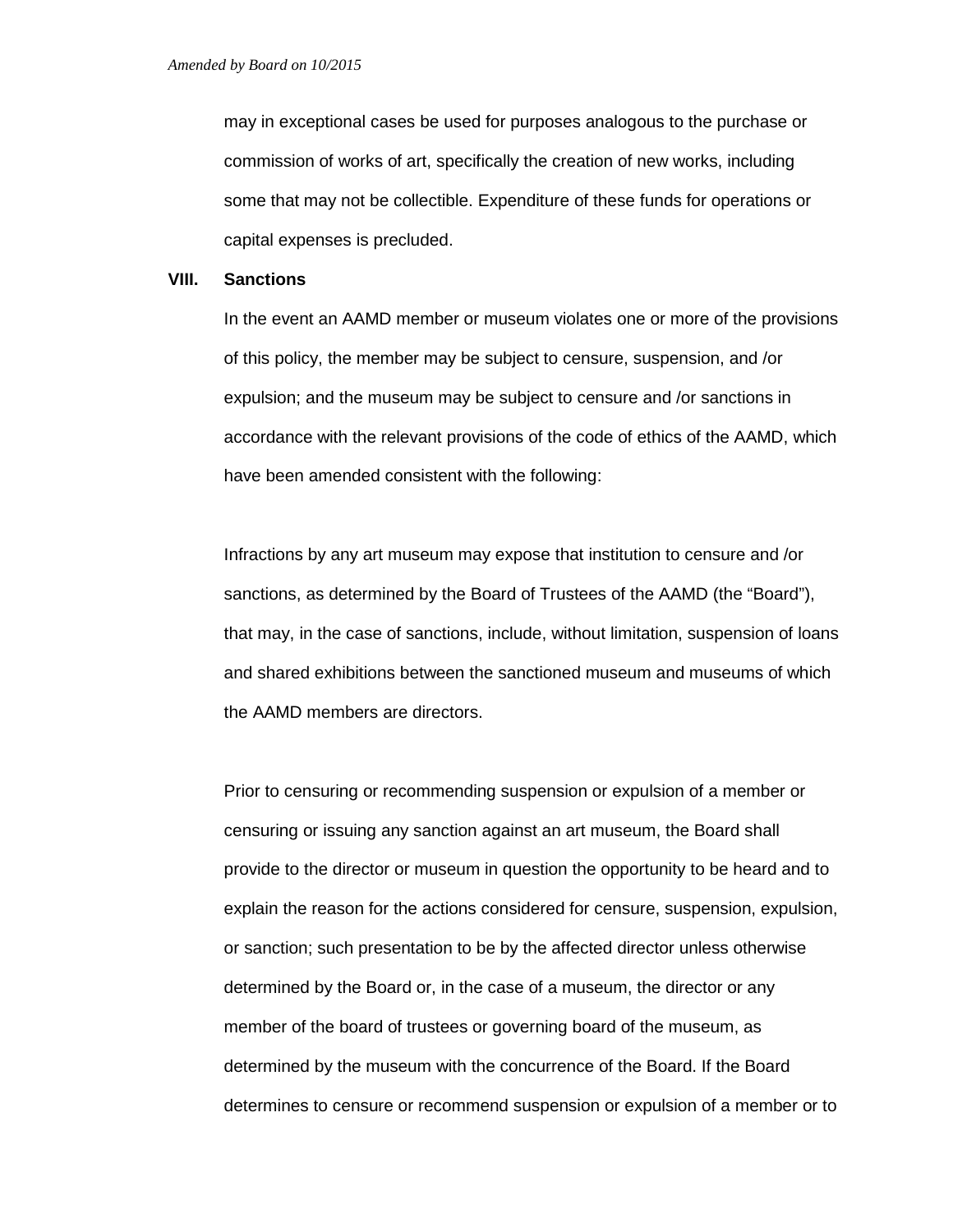may in exceptional cases be used for purposes analogous to the purchase or commission of works of art, specifically the creation of new works, including some that may not be collectible. Expenditure of these funds for operations or capital expenses is precluded.

# **VIII. Sanctions**

In the event an AAMD member or museum violates one or more of the provisions of this policy, the member may be subject to censure, suspension, and /or expulsion; and the museum may be subject to censure and /or sanctions in accordance with the relevant provisions of the code of ethics of the AAMD, which have been amended consistent with the following:

Infractions by any art museum may expose that institution to censure and /or sanctions, as determined by the Board of Trustees of the AAMD (the "Board"), that may, in the case of sanctions, include, without limitation, suspension of loans and shared exhibitions between the sanctioned museum and museums of which the AAMD members are directors.

Prior to censuring or recommending suspension or expulsion of a member or censuring or issuing any sanction against an art museum, the Board shall provide to the director or museum in question the opportunity to be heard and to explain the reason for the actions considered for censure, suspension, expulsion, or sanction; such presentation to be by the affected director unless otherwise determined by the Board or, in the case of a museum, the director or any member of the board of trustees or governing board of the museum, as determined by the museum with the concurrence of the Board. If the Board determines to censure or recommend suspension or expulsion of a member or to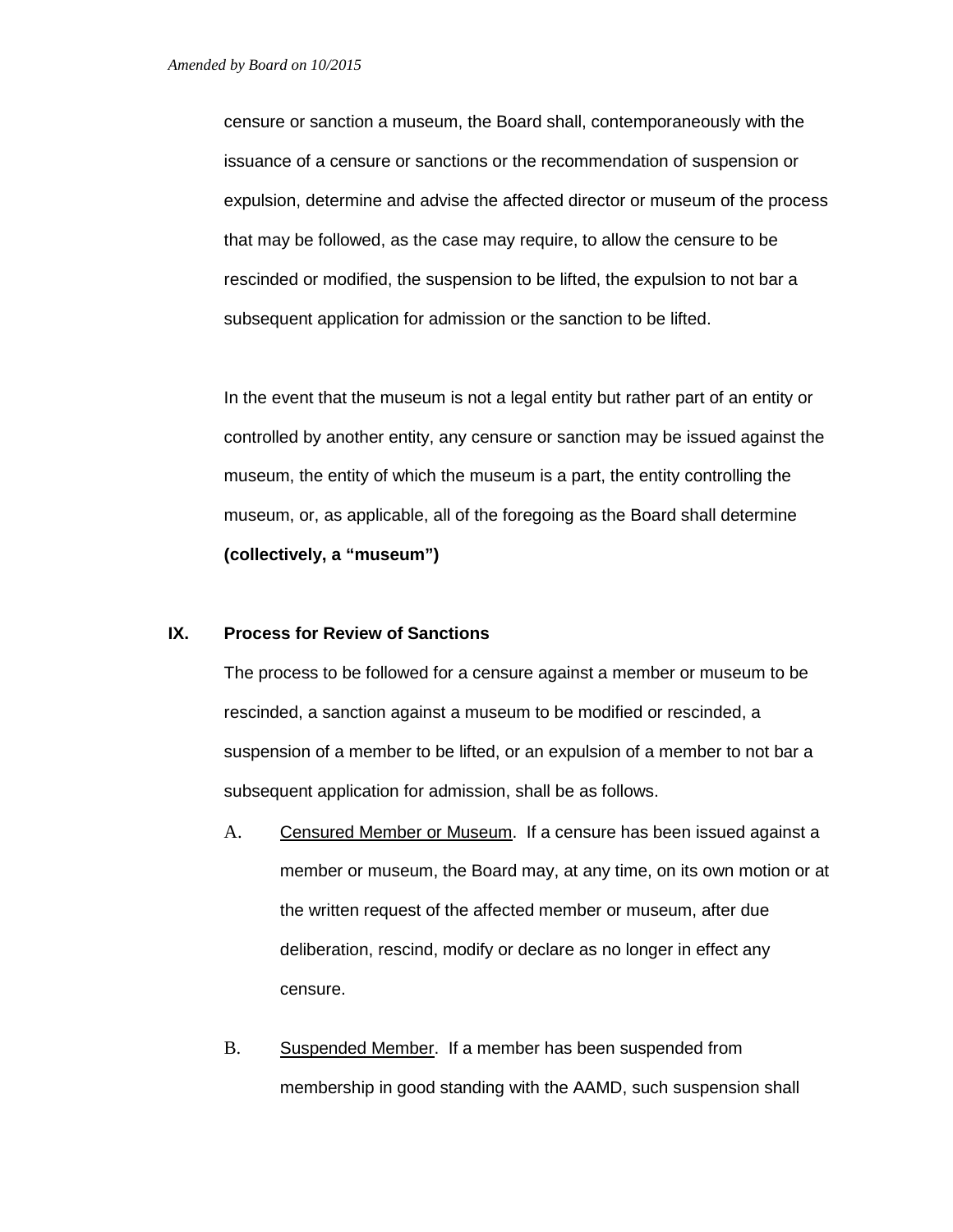censure or sanction a museum, the Board shall, contemporaneously with the issuance of a censure or sanctions or the recommendation of suspension or expulsion, determine and advise the affected director or museum of the process that may be followed, as the case may require, to allow the censure to be rescinded or modified, the suspension to be lifted, the expulsion to not bar a subsequent application for admission or the sanction to be lifted.

In the event that the museum is not a legal entity but rather part of an entity or controlled by another entity, any censure or sanction may be issued against the museum, the entity of which the museum is a part, the entity controlling the museum, or, as applicable, all of the foregoing as the Board shall determine **(collectively, a "museum")**

# **IX. Process for Review of Sanctions**

The process to be followed for a censure against a member or museum to be rescinded, a sanction against a museum to be modified or rescinded, a suspension of a member to be lifted, or an expulsion of a member to not bar a subsequent application for admission, shall be as follows.

- A. Censured Member or Museum. If a censure has been issued against a member or museum, the Board may, at any time, on its own motion or at the written request of the affected member or museum, after due deliberation, rescind, modify or declare as no longer in effect any censure.
- B. Suspended Member. If a member has been suspended from membership in good standing with the AAMD, such suspension shall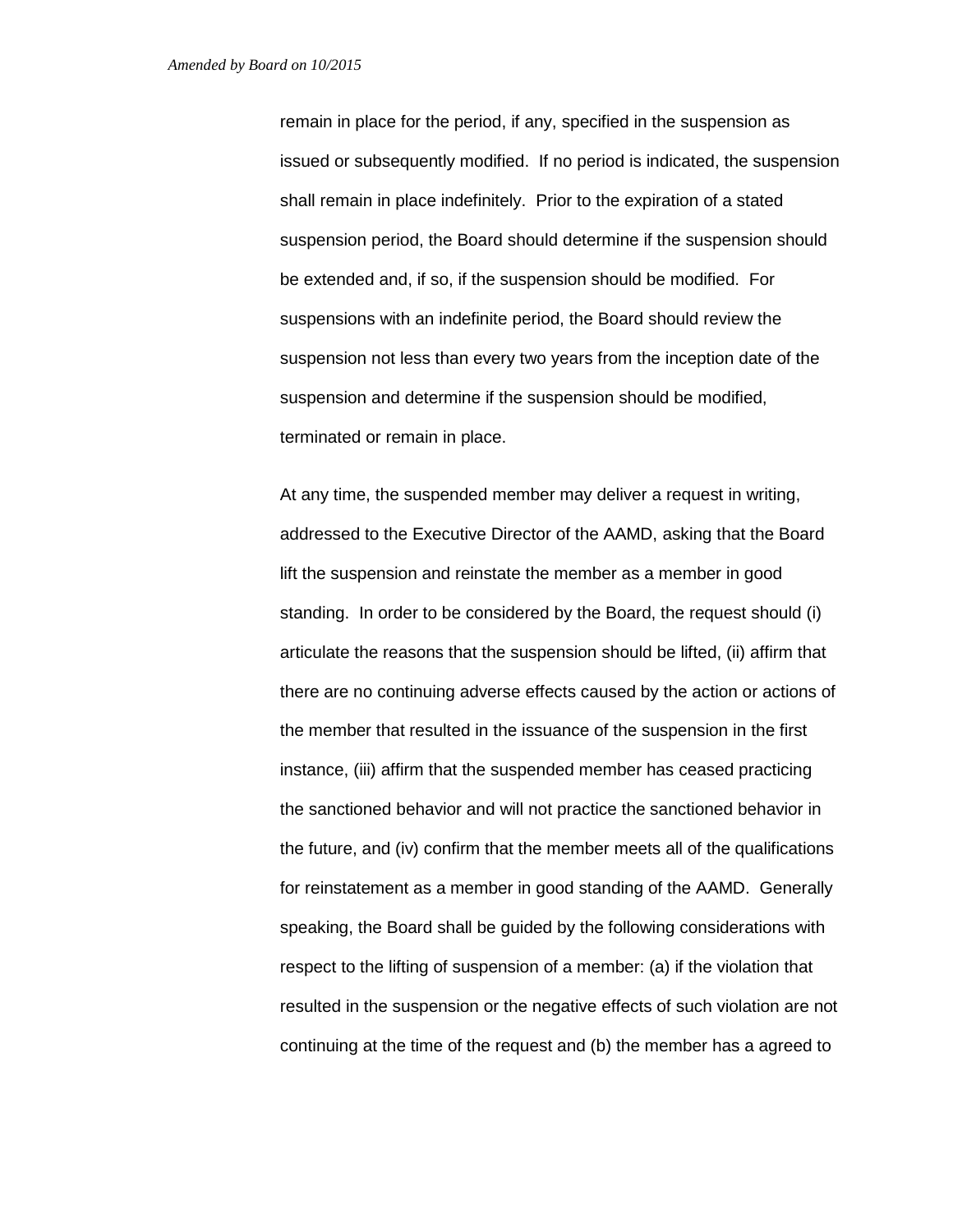remain in place for the period, if any, specified in the suspension as issued or subsequently modified. If no period is indicated, the suspension shall remain in place indefinitely. Prior to the expiration of a stated suspension period, the Board should determine if the suspension should be extended and, if so, if the suspension should be modified. For suspensions with an indefinite period, the Board should review the suspension not less than every two years from the inception date of the suspension and determine if the suspension should be modified, terminated or remain in place.

At any time, the suspended member may deliver a request in writing, addressed to the Executive Director of the AAMD, asking that the Board lift the suspension and reinstate the member as a member in good standing. In order to be considered by the Board, the request should (i) articulate the reasons that the suspension should be lifted, (ii) affirm that there are no continuing adverse effects caused by the action or actions of the member that resulted in the issuance of the suspension in the first instance, (iii) affirm that the suspended member has ceased practicing the sanctioned behavior and will not practice the sanctioned behavior in the future, and (iv) confirm that the member meets all of the qualifications for reinstatement as a member in good standing of the AAMD. Generally speaking, the Board shall be guided by the following considerations with respect to the lifting of suspension of a member: (a) if the violation that resulted in the suspension or the negative effects of such violation are not continuing at the time of the request and (b) the member has a agreed to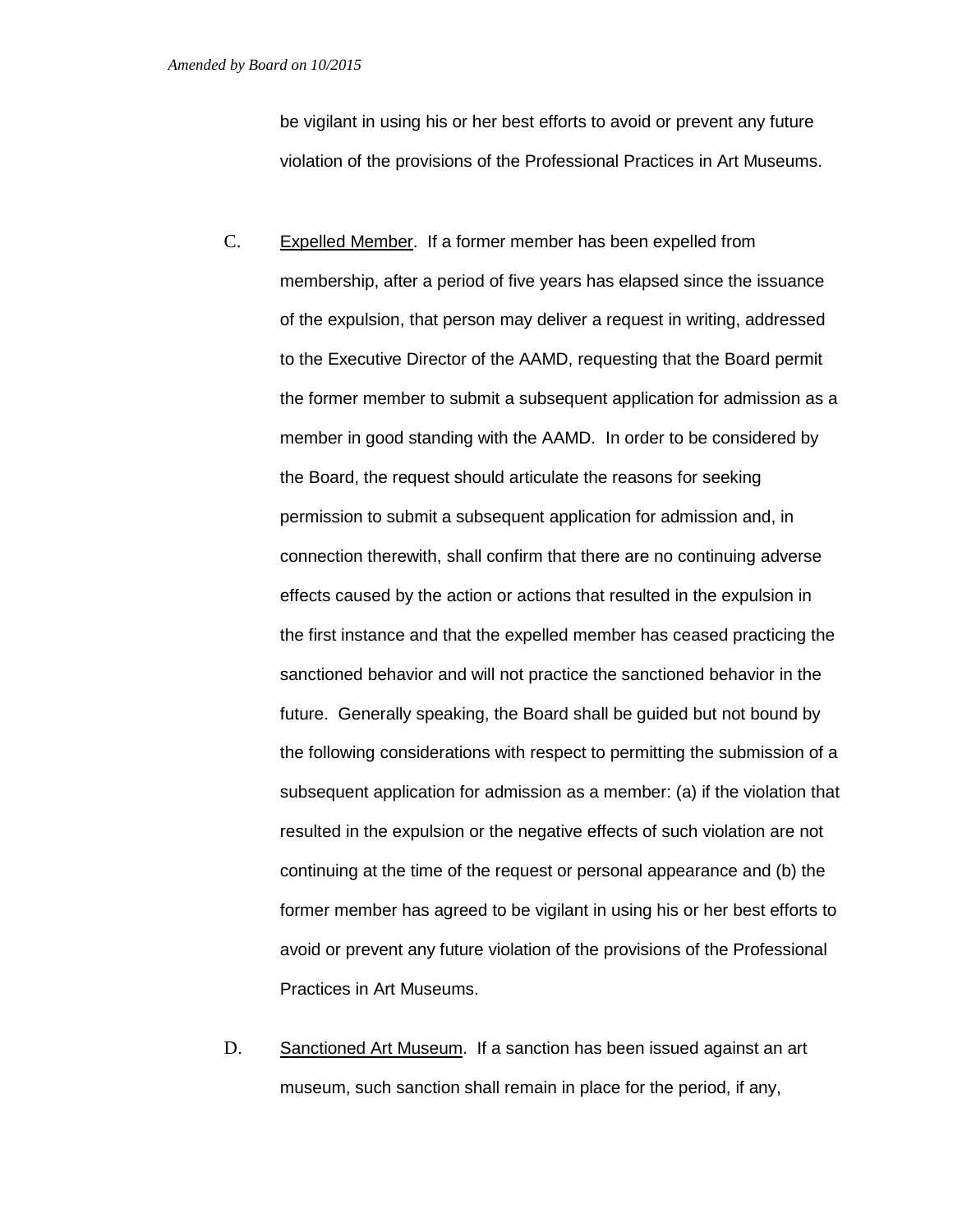be vigilant in using his or her best efforts to avoid or prevent any future violation of the provisions of the Professional Practices in Art Museums.

- C. Expelled Member. If a former member has been expelled from membership, after a period of five years has elapsed since the issuance of the expulsion, that person may deliver a request in writing, addressed to the Executive Director of the AAMD, requesting that the Board permit the former member to submit a subsequent application for admission as a member in good standing with the AAMD. In order to be considered by the Board, the request should articulate the reasons for seeking permission to submit a subsequent application for admission and, in connection therewith, shall confirm that there are no continuing adverse effects caused by the action or actions that resulted in the expulsion in the first instance and that the expelled member has ceased practicing the sanctioned behavior and will not practice the sanctioned behavior in the future. Generally speaking, the Board shall be guided but not bound by the following considerations with respect to permitting the submission of a subsequent application for admission as a member: (a) if the violation that resulted in the expulsion or the negative effects of such violation are not continuing at the time of the request or personal appearance and (b) the former member has agreed to be vigilant in using his or her best efforts to avoid or prevent any future violation of the provisions of the Professional Practices in Art Museums.
- D. Sanctioned Art Museum. If a sanction has been issued against an art museum, such sanction shall remain in place for the period, if any,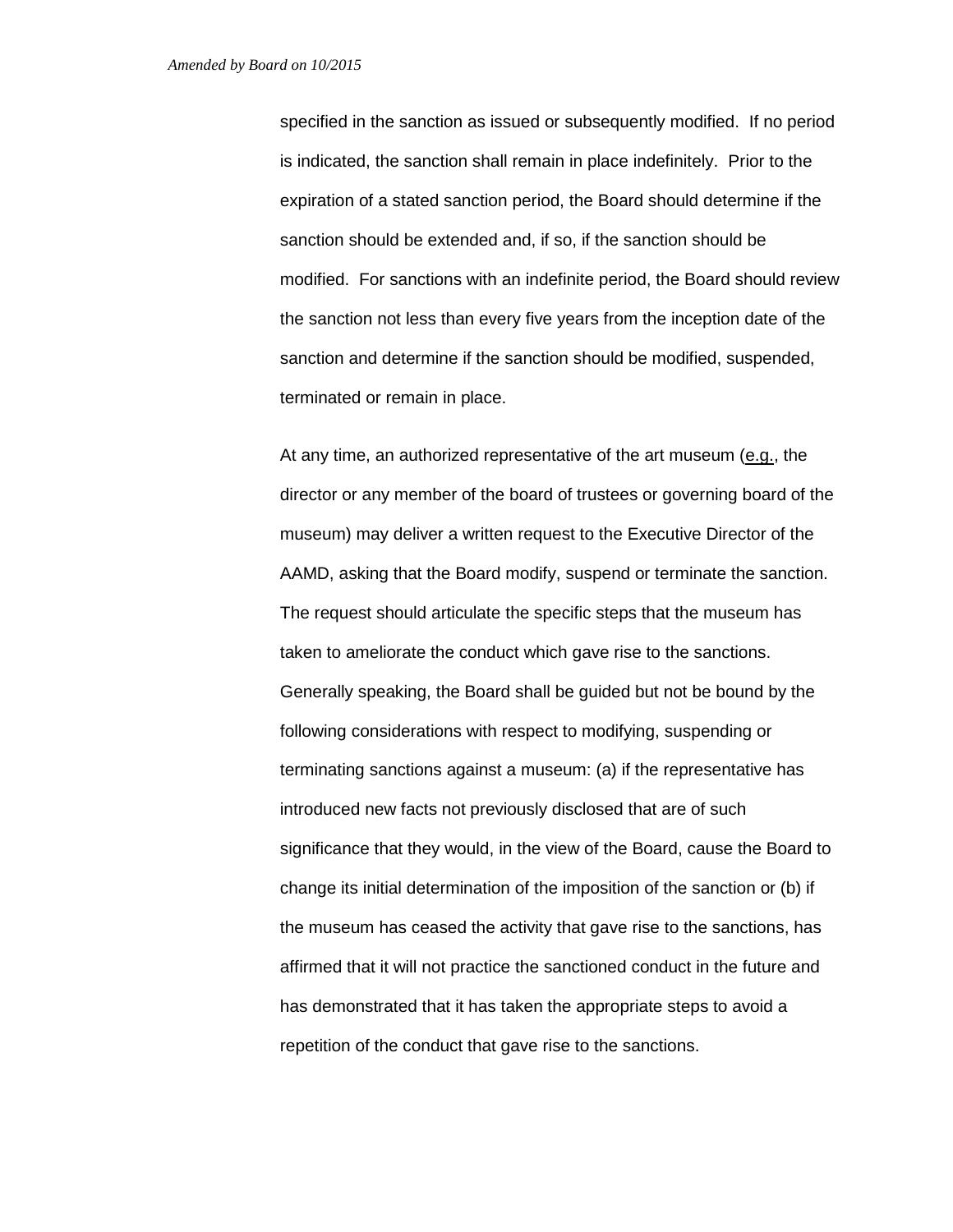specified in the sanction as issued or subsequently modified. If no period is indicated, the sanction shall remain in place indefinitely. Prior to the expiration of a stated sanction period, the Board should determine if the sanction should be extended and, if so, if the sanction should be modified. For sanctions with an indefinite period, the Board should review the sanction not less than every five years from the inception date of the sanction and determine if the sanction should be modified, suspended, terminated or remain in place.

At any time, an authorized representative of the art museum (e.g., the director or any member of the board of trustees or governing board of the museum) may deliver a written request to the Executive Director of the AAMD, asking that the Board modify, suspend or terminate the sanction. The request should articulate the specific steps that the museum has taken to ameliorate the conduct which gave rise to the sanctions. Generally speaking, the Board shall be guided but not be bound by the following considerations with respect to modifying, suspending or terminating sanctions against a museum: (a) if the representative has introduced new facts not previously disclosed that are of such significance that they would, in the view of the Board, cause the Board to change its initial determination of the imposition of the sanction or (b) if the museum has ceased the activity that gave rise to the sanctions, has affirmed that it will not practice the sanctioned conduct in the future and has demonstrated that it has taken the appropriate steps to avoid a repetition of the conduct that gave rise to the sanctions.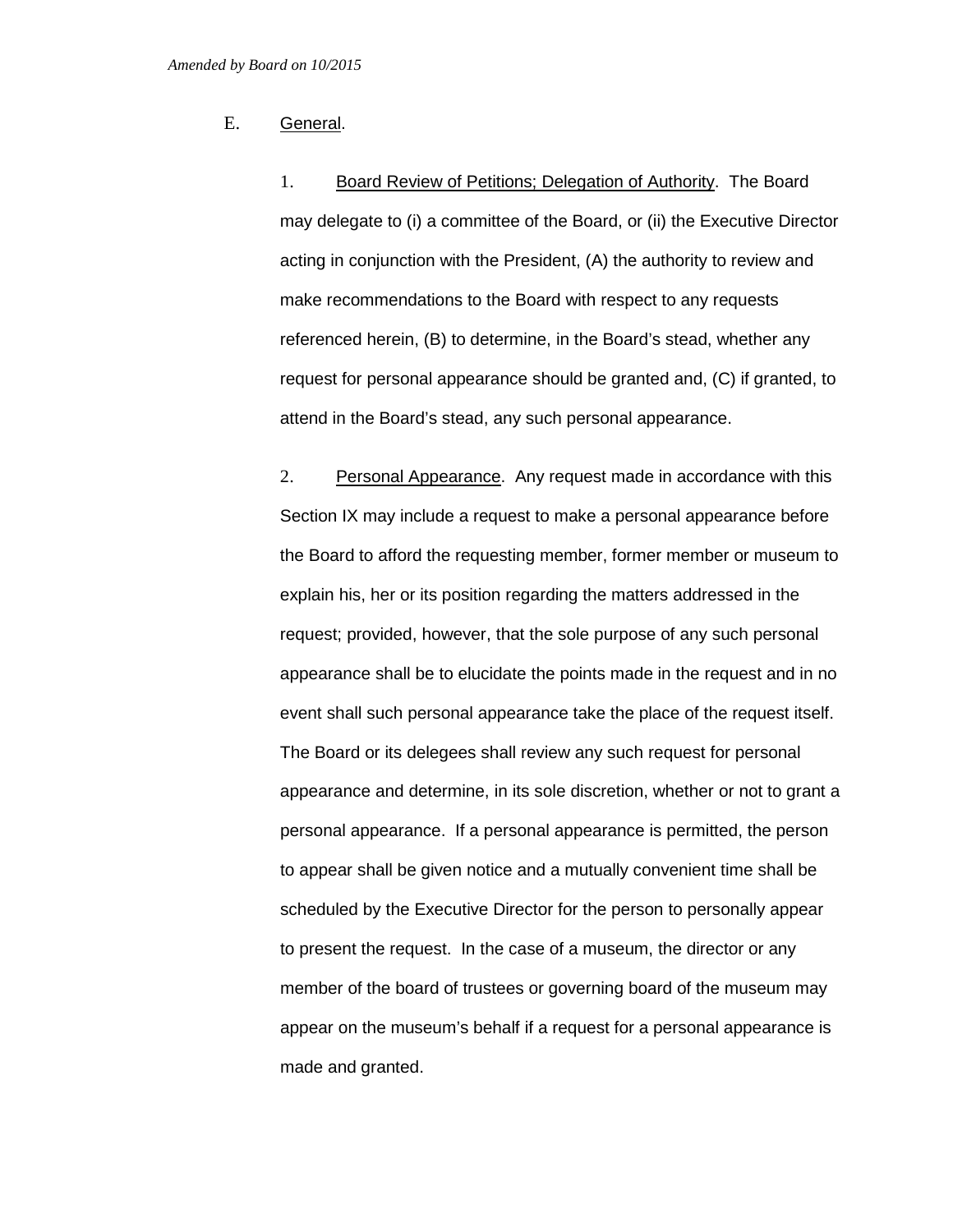# E. General.

1. Board Review of Petitions; Delegation of Authority. The Board may delegate to (i) a committee of the Board, or (ii) the Executive Director acting in conjunction with the President, (A) the authority to review and make recommendations to the Board with respect to any requests referenced herein, (B) to determine, in the Board's stead, whether any request for personal appearance should be granted and, (C) if granted, to attend in the Board's stead, any such personal appearance.

2. Personal Appearance. Any request made in accordance with this Section IX may include a request to make a personal appearance before the Board to afford the requesting member, former member or museum to explain his, her or its position regarding the matters addressed in the request; provided, however, that the sole purpose of any such personal appearance shall be to elucidate the points made in the request and in no event shall such personal appearance take the place of the request itself. The Board or its delegees shall review any such request for personal appearance and determine, in its sole discretion, whether or not to grant a personal appearance. If a personal appearance is permitted, the person to appear shall be given notice and a mutually convenient time shall be scheduled by the Executive Director for the person to personally appear to present the request. In the case of a museum, the director or any member of the board of trustees or governing board of the museum may appear on the museum's behalf if a request for a personal appearance is made and granted.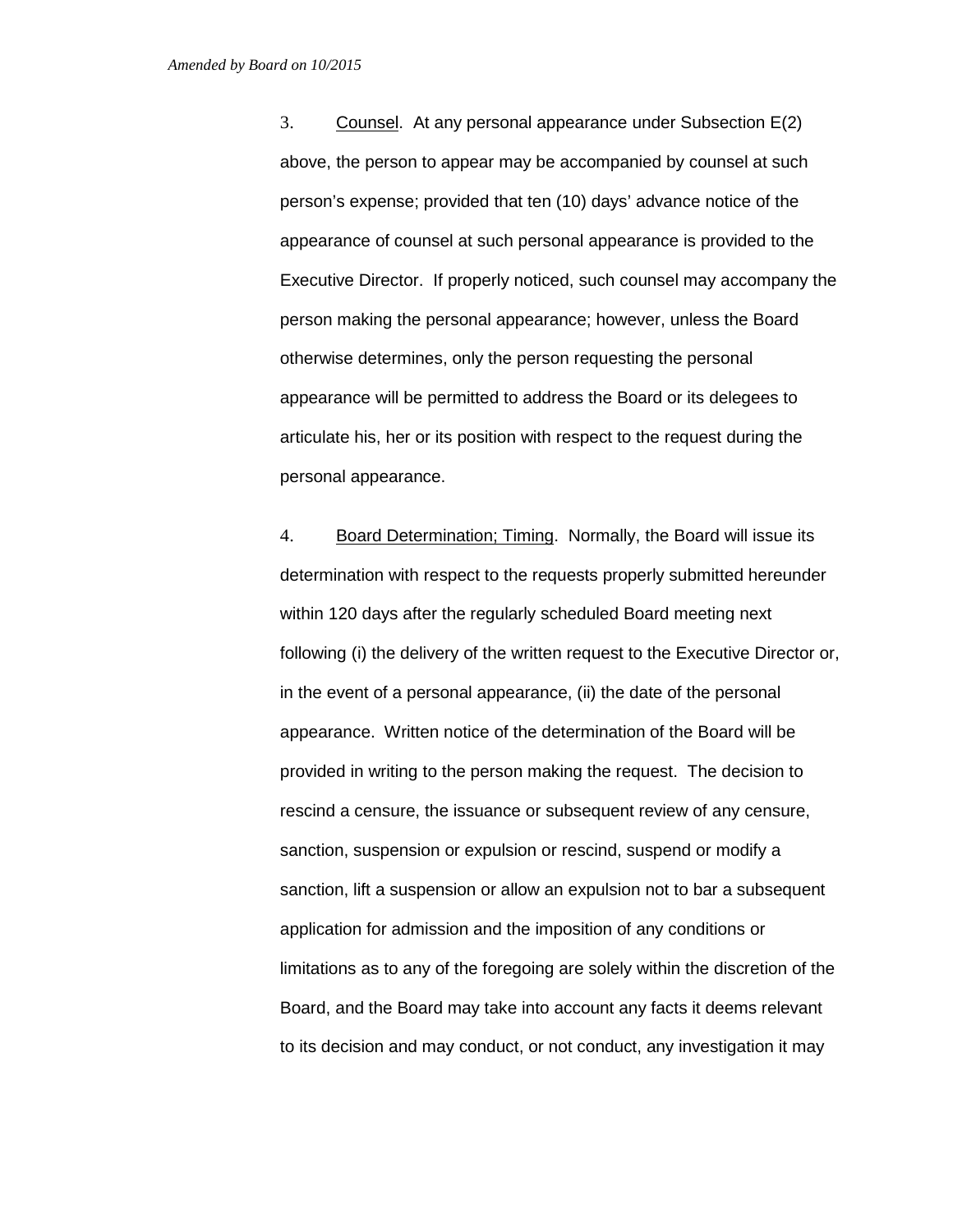3. Counsel. At any personal appearance under Subsection E(2) above, the person to appear may be accompanied by counsel at such person's expense; provided that ten (10) days' advance notice of the appearance of counsel at such personal appearance is provided to the Executive Director. If properly noticed, such counsel may accompany the person making the personal appearance; however, unless the Board otherwise determines, only the person requesting the personal appearance will be permitted to address the Board or its delegees to articulate his, her or its position with respect to the request during the personal appearance.

4. Board Determination; Timing. Normally, the Board will issue its determination with respect to the requests properly submitted hereunder within 120 days after the regularly scheduled Board meeting next following (i) the delivery of the written request to the Executive Director or, in the event of a personal appearance, (ii) the date of the personal appearance. Written notice of the determination of the Board will be provided in writing to the person making the request. The decision to rescind a censure, the issuance or subsequent review of any censure, sanction, suspension or expulsion or rescind, suspend or modify a sanction, lift a suspension or allow an expulsion not to bar a subsequent application for admission and the imposition of any conditions or limitations as to any of the foregoing are solely within the discretion of the Board, and the Board may take into account any facts it deems relevant to its decision and may conduct, or not conduct, any investigation it may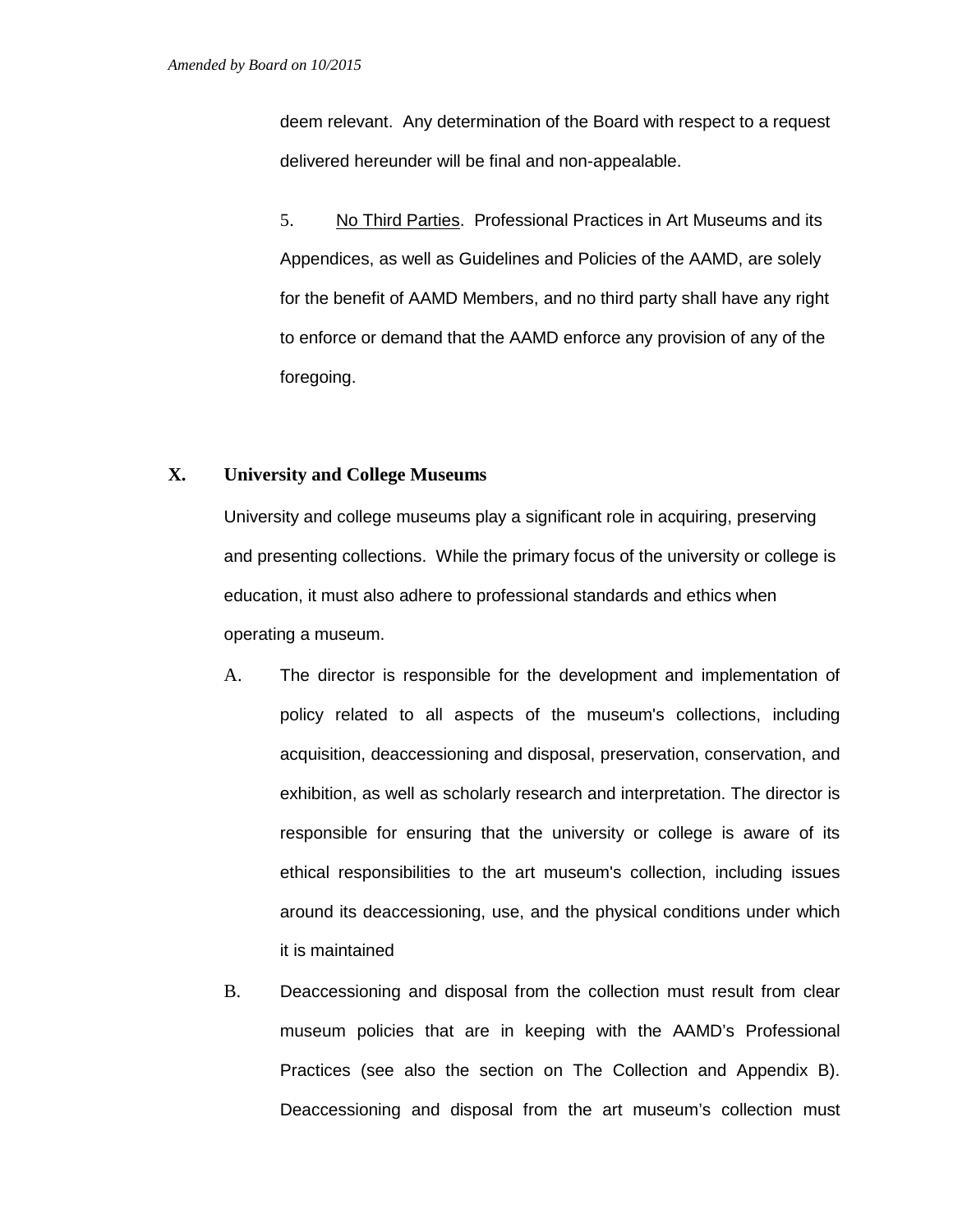deem relevant. Any determination of the Board with respect to a request delivered hereunder will be final and non-appealable.

5. No Third Parties. Professional Practices in Art Museums and its Appendices, as well as Guidelines and Policies of the AAMD, are solely for the benefit of AAMD Members, and no third party shall have any right to enforce or demand that the AAMD enforce any provision of any of the foregoing.

# **X. University and College Museums**

University and college museums play a significant role in acquiring, preserving and presenting collections. While the primary focus of the university or college is education, it must also adhere to professional standards and ethics when operating a museum.

- A. The director is responsible for the development and implementation of policy related to all aspects of the museum's collections, including acquisition, deaccessioning and disposal, preservation, conservation, and exhibition, as well as scholarly research and interpretation. The director is responsible for ensuring that the university or college is aware of its ethical responsibilities to the art museum's collection, including issues around its deaccessioning, use, and the physical conditions under which it is maintained
- B. Deaccessioning and disposal from the collection must result from clear museum policies that are in keeping with the AAMD's Professional Practices (see also the section on The Collection and Appendix B). Deaccessioning and disposal from the art museum's collection must